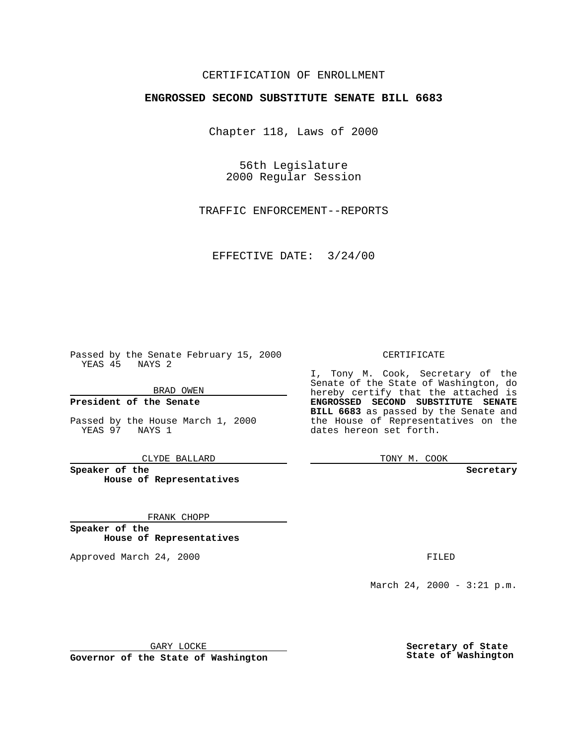## CERTIFICATION OF ENROLLMENT

# **ENGROSSED SECOND SUBSTITUTE SENATE BILL 6683**

Chapter 118, Laws of 2000

56th Legislature 2000 Regular Session

TRAFFIC ENFORCEMENT--REPORTS

EFFECTIVE DATE: 3/24/00

Passed by the Senate February 15, 2000 YEAS 45 NAYS 2

BRAD OWEN

**President of the Senate**

Passed by the House March 1, 2000 YEAS 97 NAYS 1

CLYDE BALLARD

**Speaker of the House of Representatives**

FRANK CHOPP

**Speaker of the House of Representatives**

Approved March 24, 2000 FILED

#### CERTIFICATE

I, Tony M. Cook, Secretary of the Senate of the State of Washington, do hereby certify that the attached is **ENGROSSED SECOND SUBSTITUTE SENATE BILL 6683** as passed by the Senate and the House of Representatives on the dates hereon set forth.

TONY M. COOK

**Secretary**

March 24, 2000 - 3:21 p.m.

GARY LOCKE

**Governor of the State of Washington**

**Secretary of State State of Washington**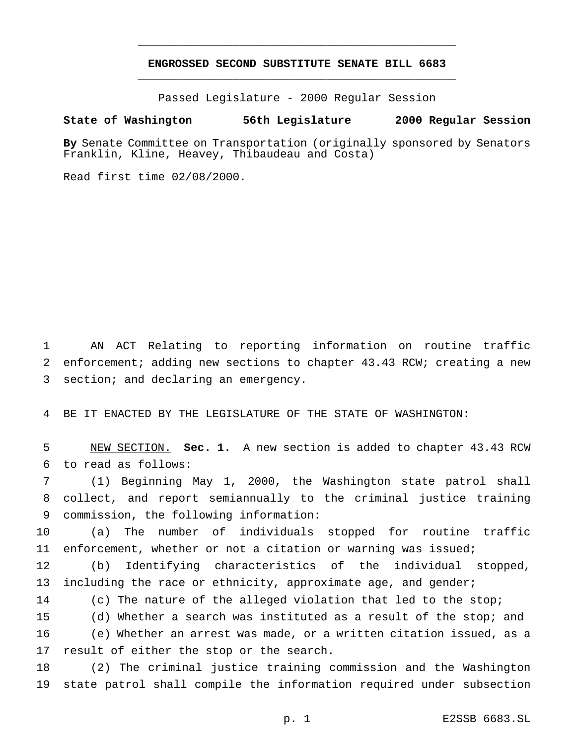## **ENGROSSED SECOND SUBSTITUTE SENATE BILL 6683** \_\_\_\_\_\_\_\_\_\_\_\_\_\_\_\_\_\_\_\_\_\_\_\_\_\_\_\_\_\_\_\_\_\_\_\_\_\_\_\_\_\_\_\_\_\_\_

\_\_\_\_\_\_\_\_\_\_\_\_\_\_\_\_\_\_\_\_\_\_\_\_\_\_\_\_\_\_\_\_\_\_\_\_\_\_\_\_\_\_\_\_\_\_\_

Passed Legislature - 2000 Regular Session

### **State of Washington 56th Legislature 2000 Regular Session**

**By** Senate Committee on Transportation (originally sponsored by Senators Franklin, Kline, Heavey, Thibaudeau and Costa)

Read first time 02/08/2000.

 AN ACT Relating to reporting information on routine traffic enforcement; adding new sections to chapter 43.43 RCW; creating a new section; and declaring an emergency.

BE IT ENACTED BY THE LEGISLATURE OF THE STATE OF WASHINGTON:

 NEW SECTION. **Sec. 1.** A new section is added to chapter 43.43 RCW to read as follows:

 (1) Beginning May 1, 2000, the Washington state patrol shall collect, and report semiannually to the criminal justice training commission, the following information:

 (a) The number of individuals stopped for routine traffic enforcement, whether or not a citation or warning was issued;

 (b) Identifying characteristics of the individual stopped, 13 including the race or ethnicity, approximate age, and gender;

(c) The nature of the alleged violation that led to the stop;

(d) Whether a search was instituted as a result of the stop; and

 (e) Whether an arrest was made, or a written citation issued, as a 17 result of either the stop or the search.

 (2) The criminal justice training commission and the Washington state patrol shall compile the information required under subsection